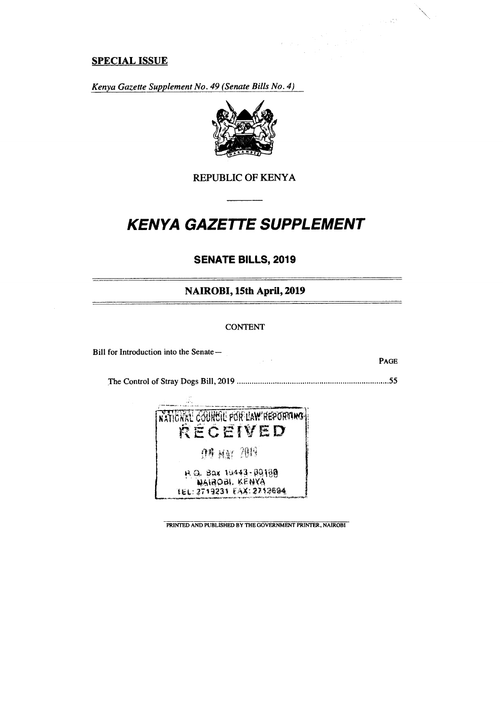## **SPECIAL ISSUE**

*Kenya Gazette Supplement No. 49 (Senate Bills No. 4)* 



# REPUBLIC OF KENYA

# **KENYA GAZETTE SUPPLEMENT**

# **SENATE BILLS, 2019**

### **NAIROBI, 15th April, 2019**

#### CONTENT

Bill for Introduction into the Senate—

PAGE

 $\mathcal{L}_{\text{c}}$  ,  $\mathcal{L}_{\text{c}}^{\text{c},\text{c}}$ 

The Control of Stray Dogs Bill, 2019 55

 $\sim 10^{-11}$ 



PRINTED AND PUBLISHED BY THE GOVERNMENT PRINTER, NAIROBI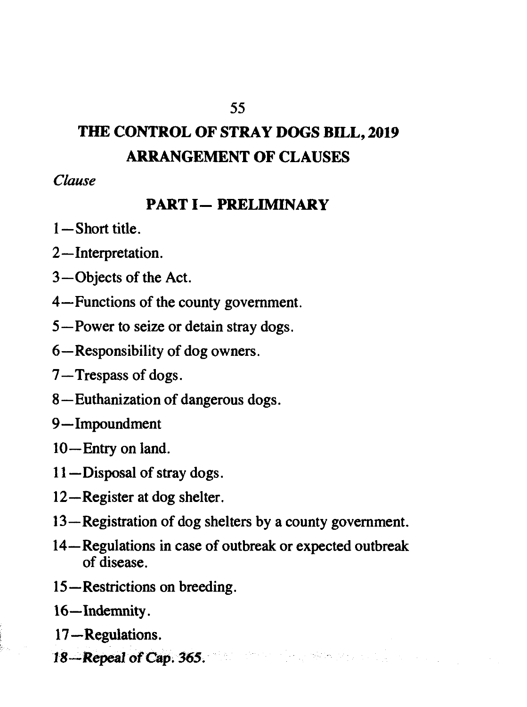# **THE CONTROL OF STRAY DOGS BILL, 2019 ARRANGEMENT OF CLAUSES**

*Clause* 

# **PART I— PRELIMINARY**

- 1—Short title.
- 2—Interpretation.
- 3—Objects of the Act.
- 4—Functions of the county government.
- 5—Power to seize or detain stray dogs.
- 6—Responsibility of dog owners.
- 7—Trespass of dogs.
- 8 —Euthanization of dangerous dogs.
- 9—Impoundment
- 10—Entry on land.
- 11—Disposal of stray dogs.
- 12—Register at dog shelter.
- 13—Registration of dog shelters by a county government.
- 14—Regulations in case of outbreak or expected outbreak of disease.
- 15—Restrictions on breeding.
- 16—Indemnity.
- 17—Regulations.
- 18—Repeal of Cap. 365.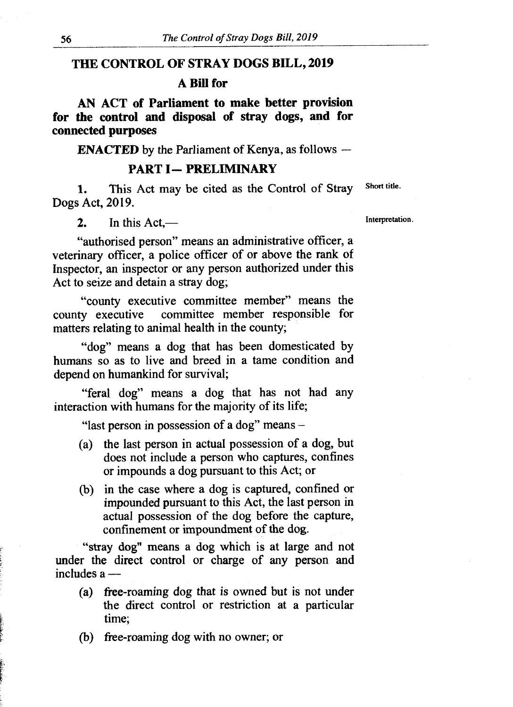#### **THE CONTROL OF STRAY DOGS BILL, 2019**

#### **A Bill for**

**AN ACT of Parliament to make better provision for the control and disposal of stray dogs, and for connected purposes** 

**ENACTED** by the Parliament of Kenya, as follows **—**

#### **PART I— PRELIMINARY**

1. This Act may be cited as the Control of Stray Short title. Dogs Act, 2019.

2. In this Act,—

"authorised person" means an administrative officer, a veterinary officer, a police officer of or above the rank of Inspector, an inspector or any person authorized under this Act to seize and detain a stray dog;

"county executive committee member" means the county executive committee member responsible for matters relating to animal health in the county;

"dog" means a dog that has been domesticated by humans so as to live and breed in a tame condition and depend on humankind for survival;

"feral dog" means a dog that has not had any interaction with humans for the majority of its life;

"last person in possession of a dog" means -

- (a) the last person in actual possession of a dog, but does not include a person who captures, confines or impounds a dog pursuant to this Act; or
- (b) in the case where a dog is captured, confined or impounded pursuant to this Act, the last person in actual possession of the dog before the capture, confinement or impoundment of the dog.

"stray dog" means a dog which is at large and not under the direct control or charge of any person and includes a —

- (a) free-roaming dog that is owned but is not under the direct control or restriction at a particular time;
- (b) free-roaming dog with no owner; or

Interpretation.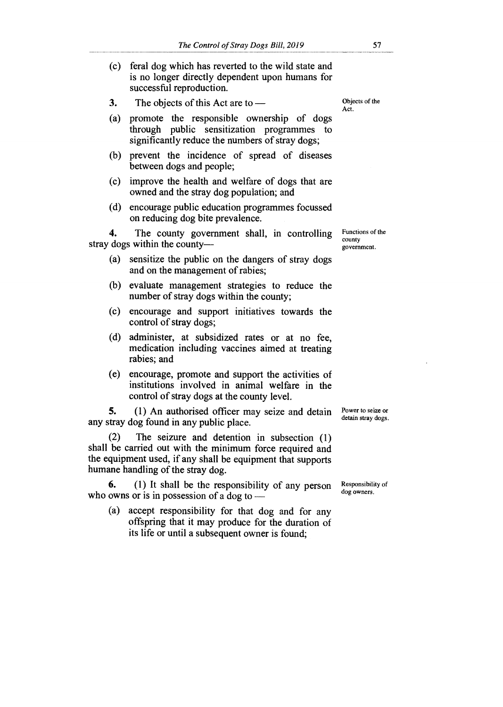- (c) feral dog which has reverted to the wild state and is no longer directly dependent upon humans for successful reproduction.
- **3.** The objects of this Act are to —
- (a) promote the responsible ownership of dogs through public sensitization programmes to significantly reduce the numbers of stray dogs;
- (b) prevent the incidence of spread of diseases between dogs and people;
- (c) improve the health and welfare of dogs that are owned and the stray dog population; and
- (d) encourage public education programmes focussed on reducing dog bite prevalence.

**4.** The county government shall, in controlling stray dogs within the county—

- (a) sensitize the public on the dangers of stray dogs and on the management of rabies;
- (b) evaluate management strategies to reduce the number of stray dogs within the county;
- (c) encourage and support initiatives towards the control of stray dogs;
- (d) administer, at subsidized rates or at no fee, medication including vaccines aimed at treating rabies; and
- (e) encourage, promote and support the activities of institutions involved in animal welfare in the control of stray dogs at the county level.

**5.** (1) An authorised officer may seize and detain any stray dog found in any public place.

(2) The seizure and detention in subsection (1) shall be carried out with the minimum force required and the equipment used, if any shall be equipment that supports humane handling of the stray dog.

**6. (1)** It shall be the responsibility of any person who owns or is in possession of a dog to —

(a) accept responsibility for that dog and for any offspring that it may produce for the duration of its life or until a subsequent owner is found;

Objects of the Act.

Functions of the county government.

Power to seize or detain stray dogs.

Responsibility of dog owners.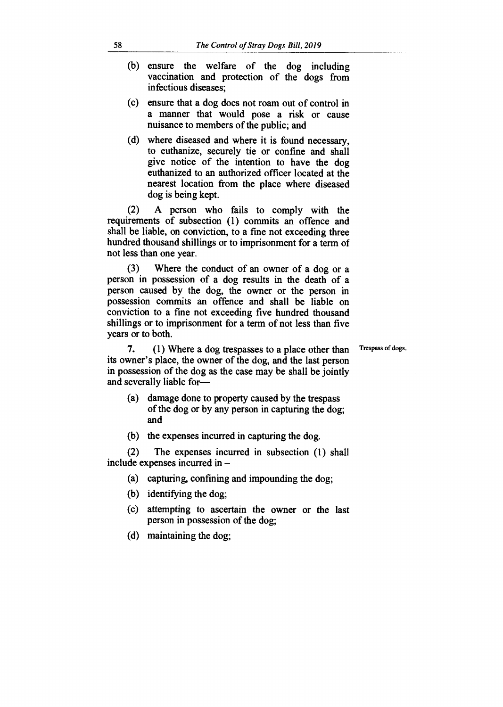- (b) ensure the welfare of the dog including vaccination and protection of the dogs from infectious diseases;
- (c) ensure that a dog does not roam out of control in a manner that would pose a risk or cause nuisance to members of the public; and
- (d) where diseased and where it is found necessary, to euthanize, securely tie or confine and shall give notice of the intention to have the dog euthanized to an authorized officer located at the nearest location from the place where diseased dog is being kept.

(2) A person who fails to comply with the requirements of subsection (1) commits an offence and shall be liable, on conviction, to a fine not exceeding three hundred thousand shillings or to imprisonment for a term of not less than one year.

(3) Where the conduct of an owner of a dog or a person in possession of a dog results in the death of a person caused by the dog, the owner or the person in possession commits an offence and shall be liable on conviction to a fine not exceeding five hundred thousand shillings or to imprisonment for a term of not less than five years or to both.

Trespass of dogs.

**7.** (1) Where a dog trespasses to a place other than its owner's place, the owner of the dog, and the last person in possession of the dog as the case may be shall be jointly and severally liable for—

- (a) damage done to property caused by the trespass of the dog or by any person in capturing the dog; and
- (b) the expenses incurred in capturing the dog.

(2) The expenses incurred in subsection (1) shall include expenses incurred in —

- (a) capturing, confining and impounding the dog;
- (b) identifying the dog;
- (c) attempting to ascertain the owner or the last person in possession of the dog;
- (d) maintaining the dog;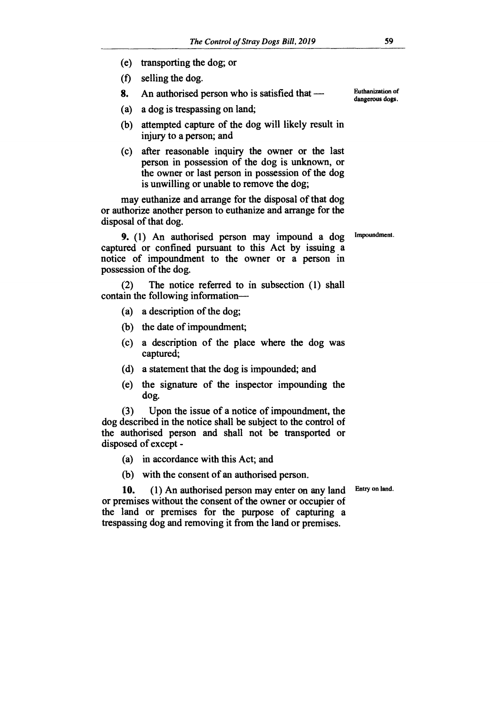- **(e) transporting the dog; or**
- **(f) selling the dog.**
- **8. An authorised person who is satisfied that**
- **(a) a dog is trespassing on land;**
- **(b) attempted capture of the dog will likely result in injury to a person; and**
- **(c) after reasonable inquiry the owner or the last person in possession of the dog is unknown, or the owner or last person in possession of the dog is unwilling or unable to remove the dog;**

**may euthanize and arrange for the disposal of that dog or authorize another person to euthanize and arrange for the disposal of that dog.** 

**9. (1) An authorised person may impound a dog captured or confined pursuant to this Act by issuing a notice of impoundment to the owner or a person in possession of the dog.** 

**(2) The notice referred to in subsection (1) shall contain the following information—** 

- **(a) a description of the dog;**
- **(b) the date of impoundment;**
- **(c) a description of the place where the dog was captured;**
- **(d) a statement that the dog is impounded; and**
- **(e) the signature of the inspector impounding the dog.**

**(3) Upon the issue of a notice of impoundment, the dog described in the notice shall be subject to the control of the authorised person and shall not be transported or disposed of except -** 

- **(a) in accordance with this Act; and**
- **(b) with the consent of an authorised person.**

**Entry on land.** 

**10. (1) An authorised person may enter on any land or premises without the consent of the owner or occupier of the land or premises for the purpose of capturing a trespassing dog and removing it from the land or premises.** 

**Euthanization of dangerous dogs.** 

**Impoundment.**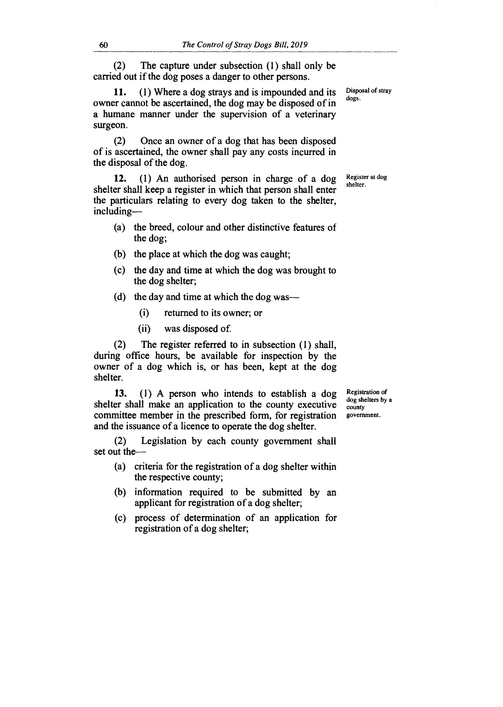(2) The capture under subsection (1) shall only be carried out if the dog poses a danger to other persons.

11. **(1)** Where a dog strays and is impounded and its owner cannot be ascertained, the dog may be disposed of in a humane manner under the supervision of a veterinary surgeon.

(2) Once an owner of a dog that has been disposed of is ascertained, the owner shall pay any costs incurred in the disposal of the dog.

12. (1) An authorised person in charge of a dog shelter shall keep a register in which that person shall enter the particulars relating to every dog taken to the shelter, including—

- (a) the breed, colour and other distinctive features of the dog;
- (b) the place at which the dog was caught;
- (c) the day and time at which the dog was brought to the dog shelter;
- (d) the day and time at which the dog was—
	- (i) returned to its owner; or
	- (ii) was disposed of.

(2) The register referred to in subsection (1) shall, during office hours, be available for inspection by the owner of a dog which is, or has been, kept at the dog shelter.

**13.** (1) A person who intends to establish a dog shelter shall make an application to the county executive committee member in the prescribed form, for registration and the issuance of a licence to operate the dog shelter.

Registration of dog shelters by a county government.

(2) Legislation by each county government shall set out the—

- (a) criteria for the registration of a dog shelter within the respective county;
- (b) information required to be submitted by an applicant for registration of a dog shelter;
- (c) process of determination of an application for registration of a dog shelter;

Disposal of stray dogs.

Register at dog shelter.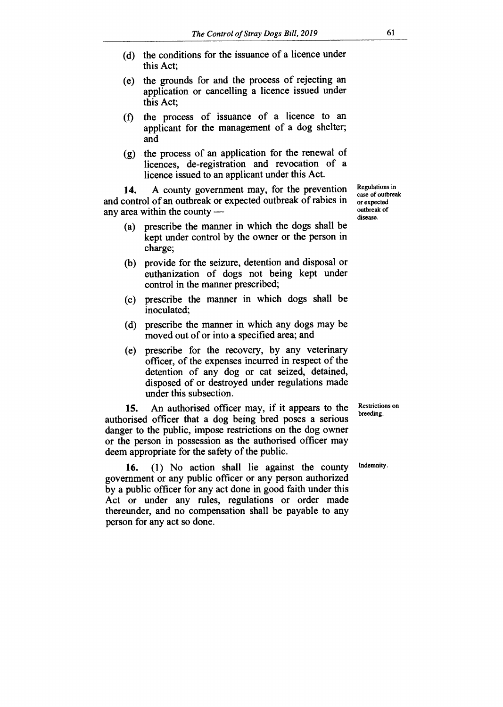- (d) the conditions for the issuance of a licence under this Act;
- (e) the grounds for and the process of rejecting an application or cancelling a licence issued under this Act;
- (f) the process of issuance of a licence to an applicant for the management of a dog shelter; and
- (g) the process of an application for the renewal of licences, de-registration and revocation of a licence issued to an applicant under this Act.

**14.** A county government may, for the prevention and control of an outbreak or expected outbreak of rabies in any area within the county —

- (a) prescribe the manner in which the dogs shall be kept under control by the owner or the person in charge;
- (b) provide for the seizure, detention and disposal or euthanization of dogs not being kept under control in the manner prescribed;
- (c) prescribe the manner in which dogs shall be inoculated;
- (d) prescribe the manner in which any dogs may be moved out of or into a specified area; and
- (e) prescribe for the recovery, by any veterinary officer, of the expenses incurred in respect of the detention of any dog or cat seized, detained, disposed of or destroyed under regulations made under this subsection.

**15.** An authorised officer may, if it appears to the authorised officer that a dog being bred poses a serious danger to the public, impose restrictions on the dog owner or the person in possession as the authorised officer may deem appropriate for the safety of the public.

**16.** (1) No action shall lie against the county government or any public officer or any person authorized by a public officer for any act done in good faith under this Act or under any rules, regulations or order made thereunder, and no compensation shall be payable to any person for any act so done.

Regulations in case of outbreak or expected outbreak of disease.

Restrictions on breeding.

Indemnity.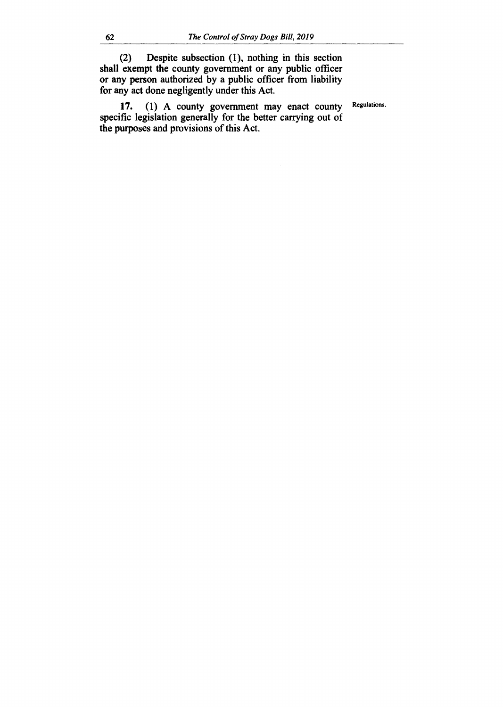**(2) Despite subsection (1), nothing in this section shall exempt the county government or any public officer or any person authorized by a public officer from liability for any act done negligently under this Act.** 

**17. (1) A county government may enact county specific legislation generally for the better carrying out of the purposes and provisions of this Act.** 

**Regulations.**